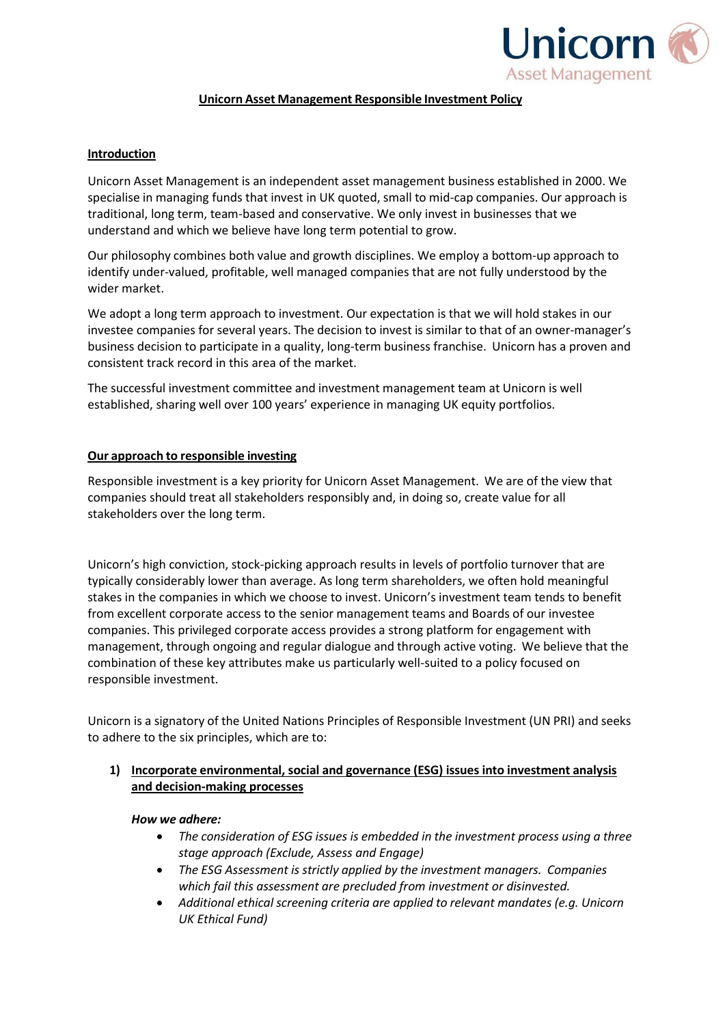

### **Unicorn Asset Management Responsible Investment Policy**

# **Introduction**

Unicorn Asset Management is an independent asset management business established in 2000. We specialise in managing funds that invest in UK quoted, small to mid-cap companies. Our approach is traditional, long term, team-based and conservative. We only invest in businesses that we understand and which we believe have long term potential to grow.

Our philosophy combines both value and growth disciplines. We employ a bottom-up approach to identify under-valued, profitable, well managed companies that are not fully understood by the wider market.

We adopt a long term approach to investment. Our expectation is that we will hold stakes in our investee companies for several years. The decision to invest is similar to that of an owner-manager's business decision to participate in a quality, long-term business franchise. Unicorn has a proven and consistent track record in this area of the market.

The successful investment committee and investment management team at Unicorn is well established, sharing well over 100 years' experience in managing UK equity portfolios.

# **Our approach to responsible investing**

Responsible investment is a key priority for Unicorn Asset Management. We are of the view that companies should treat all stakeholders responsibly and, in doing so, create value for all stakeholders over the long term.

Unicorn's high conviction, stock-picking approach results in levels of portfolio turnover that are typically considerably lower than average. As long term shareholders, we often hold meaningful stakes in the companies in which we choose to invest. Unicorn's investment team tends to benefit from excellent corporate access to the senior management teams and Boards of our investee companies. This privileged corporate access provides a strong platform for engagement with management, through ongoing and regular dialogue and through active voting. We believe that the combination of these key attributes make us particularly well-suited to a policy focused on responsible investment.

Unicorn is a signatory of the United Nations Principles of Responsible Investment (UN PRI) and seeks to adhere to the six principles, which are to:

# **1) Incorporate environmental, social and governance (ESG) issues into investment analysis and decision-making processes**

### *How we adhere:*

- *The consideration of ESG issues is embedded in the investment process using a three stage approach (Exclude, Assess and Engage)*
- *The ESG Assessment is strictly applied by the investment managers. Companies which fail this assessment are precluded from investment or disinvested.*
- *Additional ethical screening criteria are applied to relevant mandates (e.g. Unicorn UK Ethical Fund)*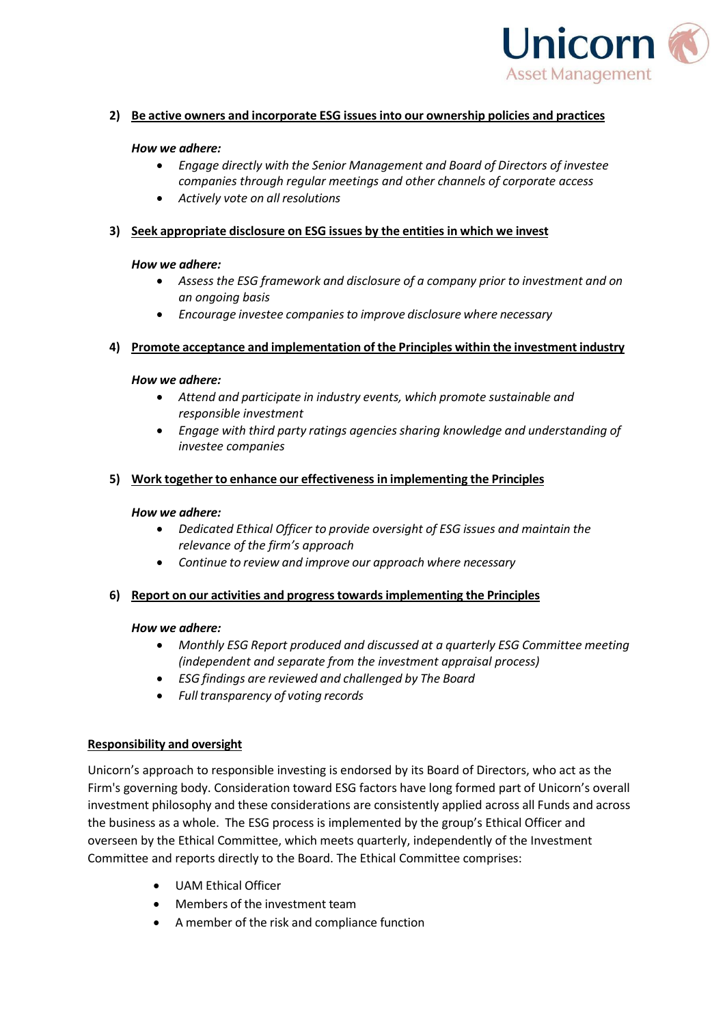

# **2) Be active owners and incorporate ESG issues into our ownership policies and practices**

### *How we adhere:*

- *Engage directly with the Senior Management and Board of Directors of investee companies through regular meetings and other channels of corporate access*
- *Actively vote on all resolutions*

## **3) Seek appropriate disclosure on ESG issues by the entitiesin which we invest**

### *How we adhere:*

- *Assess the ESG framework and disclosure of a company prior to investment and on an ongoing basis*
- *Encourage investee companiesto improve disclosure where necessary*

### **4) Promote acceptance and implementation of the Principles within the investment industry**

### *How we adhere:*

- *Attend and participate in industry events, which promote sustainable and responsible investment*
- *Engage with third party ratings agencies sharing knowledge and understanding of investee companies*

### **5) Work together to enhance our effectiveness in implementing the Principles**

#### *How we adhere:*

- *Dedicated Ethical Officer to provide oversight of ESG issues and maintain the relevance of the firm's approach*
- *Continue to review and improve our approach where necessary*

### **6) Report on our activities and progress towardsimplementing the Principles**

### *How we adhere:*

- *Monthly ESG Report produced and discussed at a quarterly ESG Committee meeting (independent and separate from the investment appraisal process)*
- *ESG findings are reviewed and challenged by The Board*
- *Full transparency of voting records*

### **Responsibility and oversight**

Unicorn's approach to responsible investing is endorsed by its Board of Directors, who act as the Firm's governing body. Consideration toward ESG factors have long formed part of Unicorn's overall investment philosophy and these considerations are consistently applied across all Funds and across the business as a whole. The ESG process is implemented by the group's Ethical Officer and overseen by the Ethical Committee, which meets quarterly, independently of the Investment Committee and reports directly to the Board. The Ethical Committee comprises:

- UAM Ethical Officer
- Members of the investment team
- A member of the risk and compliance function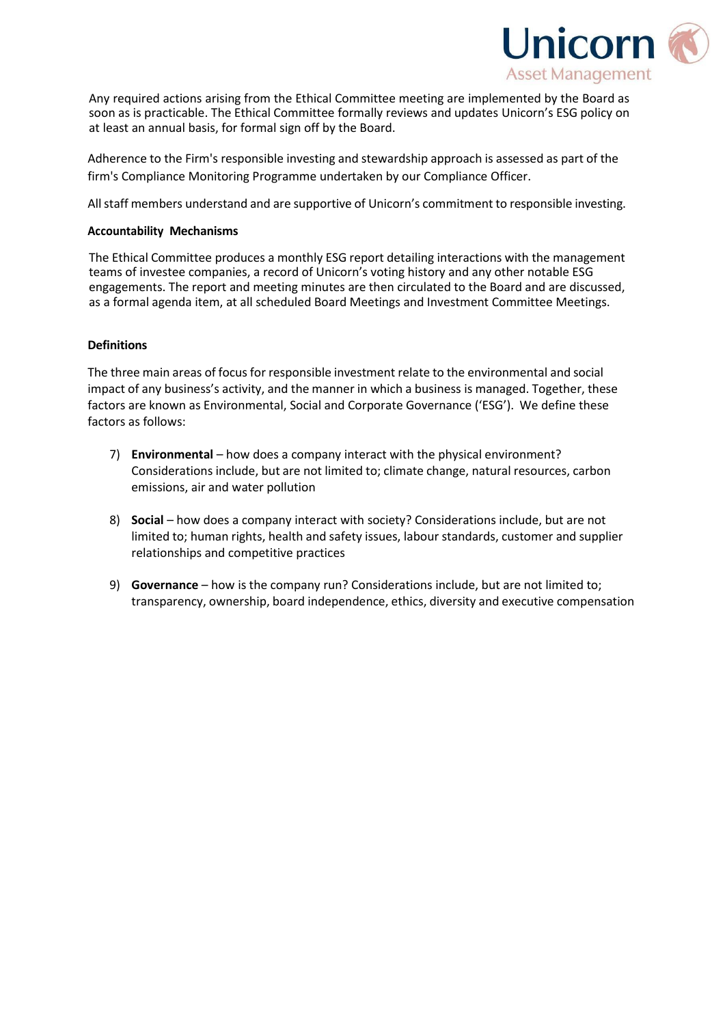

Any required actions arising from the Ethical Committee meeting are implemented by the Board as soon as is practicable. The Ethical Committee formally reviews and updates Unicorn's ESG policy on at least an annual basis, for formal sign off by the Board.

Adherence to the Firm's responsible investing and stewardship approach is assessed as part of the firm's Compliance Monitoring Programme undertaken by our Compliance Officer.

All staff members understand and are supportive of Unicorn's commitment to responsible investing.

#### **Accountability Mechanisms**

The Ethical Committee produces a monthly ESG report detailing interactions with the management teams of investee companies, a record of Unicorn's voting history and any other notable ESG engagements. The report and meeting minutes are then circulated to the Board and are discussed, as a formal agenda item, at all scheduled Board Meetings and Investment Committee Meetings.

#### **Definitions**

The three main areas of focus for responsible investment relate to the environmental and social impact of any business's activity, and the manner in which a business is managed. Together, these factors are known as Environmental, Social and Corporate Governance ('ESG'). We define these factors as follows:

- 7) **Environmental**  how does a company interact with the physical environment? Considerations include, but are not limited to; climate change, natural resources, carbon emissions, air and water pollution
- 8) **Social**  how does a company interact with society? Considerations include, but are not limited to; human rights, health and safety issues, labour standards, customer and supplier relationships and competitive practices
- 9) **Governance**  how is the company run? Considerations include, but are not limited to; transparency, ownership, board independence, ethics, diversity and executive compensation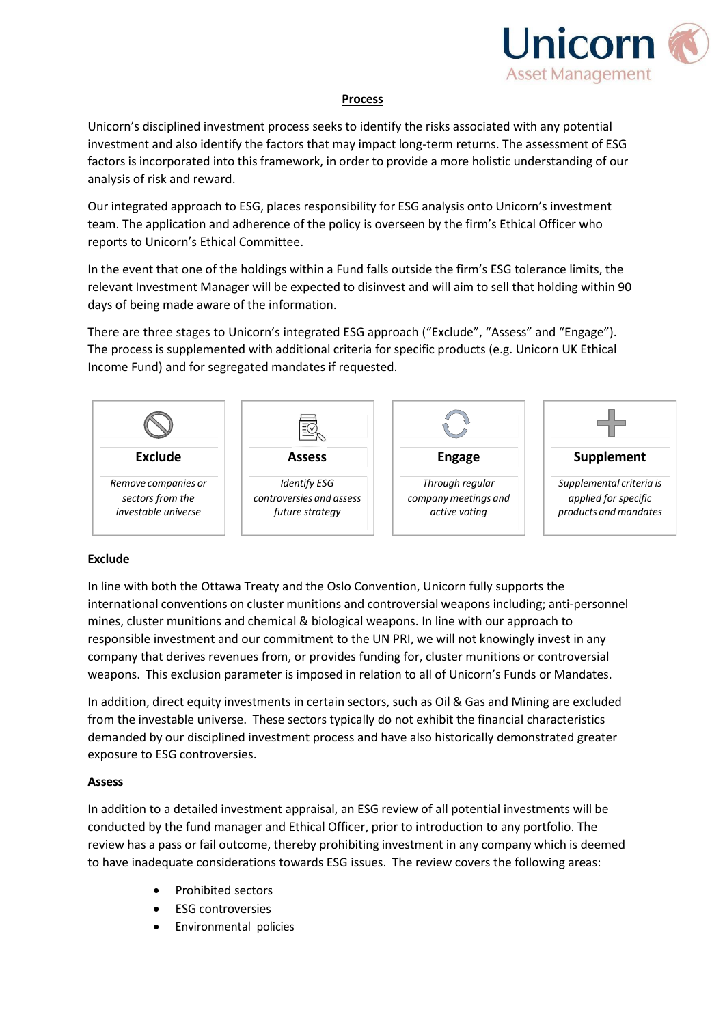

### **Process**

Unicorn's disciplined investment process seeks to identify the risks associated with any potential investment and also identify the factors that may impact long-term returns. The assessment of ESG factors is incorporated into this framework, in order to provide a more holistic understanding of our analysis of risk and reward.

Our integrated approach to ESG, places responsibility for ESG analysis onto Unicorn's investment team. The application and adherence of the policy is overseen by the firm's Ethical Officer who reports to Unicorn's Ethical Committee.

In the event that one of the holdings within a Fund falls outside the firm's ESG tolerance limits, the relevant Investment Manager will be expected to disinvest and will aim to sell that holding within 90 days of being made aware of the information.

There are three stages to Unicorn's integrated ESG approach ("Exclude", "Assess" and "Engage"). The process is supplemented with additional criteria for specific products (e.g. Unicorn UK Ethical Income Fund) and for segregated mandates if requested.



### **Exclude**

In line with both the Ottawa Treaty and the Oslo Convention, Unicorn fully supports the international conventions on cluster munitions and controversial weapons including; anti-personnel mines, cluster munitions and chemical & biological weapons. In line with our approach to responsible investment and our commitment to the UN PRI, we will not knowingly invest in any company that derives revenues from, or provides funding for, cluster munitions or controversial weapons. This exclusion parameter is imposed in relation to all of Unicorn's Funds or Mandates.

In addition, direct equity investments in certain sectors, such as Oil & Gas and Mining are excluded from the investable universe. These sectors typically do not exhibit the financial characteristics demanded by our disciplined investment process and have also historically demonstrated greater exposure to ESG controversies.

#### **Assess**

In addition to a detailed investment appraisal, an ESG review of all potential investments will be conducted by the fund manager and Ethical Officer, prior to introduction to any portfolio. The review has a pass or fail outcome, thereby prohibiting investment in any company which is deemed to have inadequate considerations towards ESG issues. The review covers the following areas:

- Prohibited sectors
- ESG controversies
- Environmental policies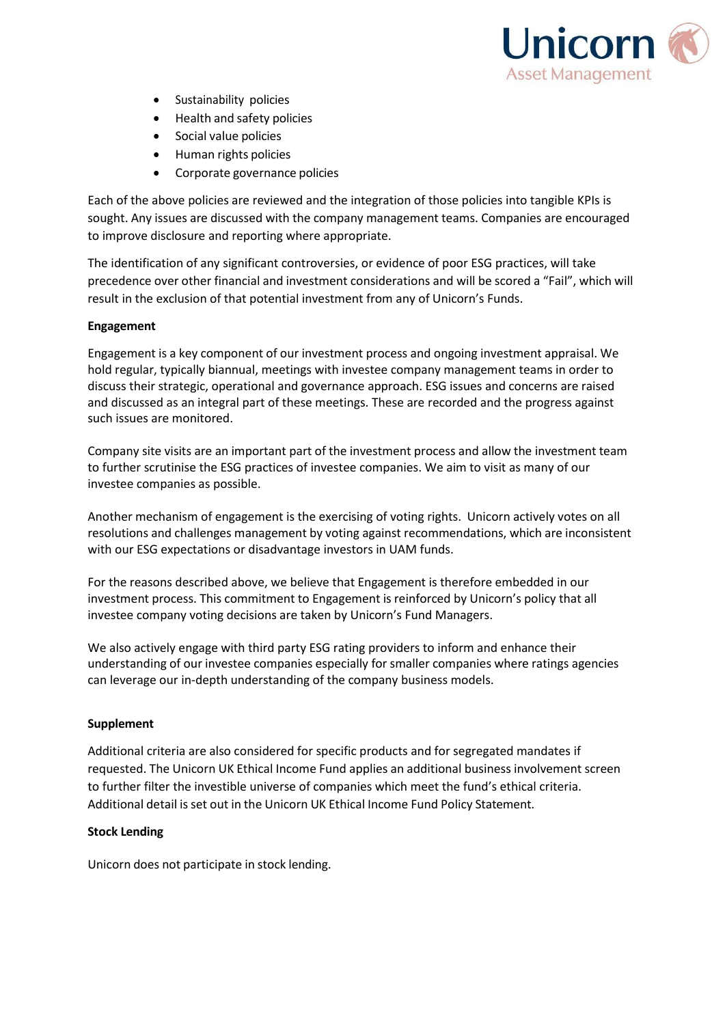

- Sustainability policies
- Health and safety policies
- Social value policies
- Human rights policies
- Corporate governance policies

Each of the above policies are reviewed and the integration of those policies into tangible KPIs is sought. Any issues are discussed with the company management teams. Companies are encouraged to improve disclosure and reporting where appropriate.

The identification of any significant controversies, or evidence of poor ESG practices, will take precedence over other financial and investment considerations and will be scored a "Fail", which will result in the exclusion of that potential investment from any of Unicorn's Funds.

#### **Engagement**

Engagement is a key component of our investment process and ongoing investment appraisal. We hold regular, typically biannual, meetings with investee company management teams in order to discuss their strategic, operational and governance approach. ESG issues and concerns are raised and discussed as an integral part of these meetings. These are recorded and the progress against such issues are monitored.

Company site visits are an important part of the investment process and allow the investment team to further scrutinise the ESG practices of investee companies. We aim to visit as many of our investee companies as possible.

Another mechanism of engagement is the exercising of voting rights. Unicorn actively votes on all resolutions and challenges management by voting against recommendations, which are inconsistent with our ESG expectations or disadvantage investors in UAM funds.

For the reasons described above, we believe that Engagement is therefore embedded in our investment process. This commitment to Engagement is reinforced by Unicorn's policy that all investee company voting decisions are taken by Unicorn's Fund Managers.

We also actively engage with third party ESG rating providers to inform and enhance their understanding of our investee companies especially for smaller companies where ratings agencies can leverage our in-depth understanding of the company business models.

### **Supplement**

Additional criteria are also considered for specific products and for segregated mandates if requested. The Unicorn UK Ethical Income Fund applies an additional business involvement screen to further filter the investible universe of companies which meet the fund's ethical criteria. Additional detail is set out in the Unicorn UK Ethical Income Fund Policy Statement.

#### **Stock Lending**

Unicorn does not participate in stock lending.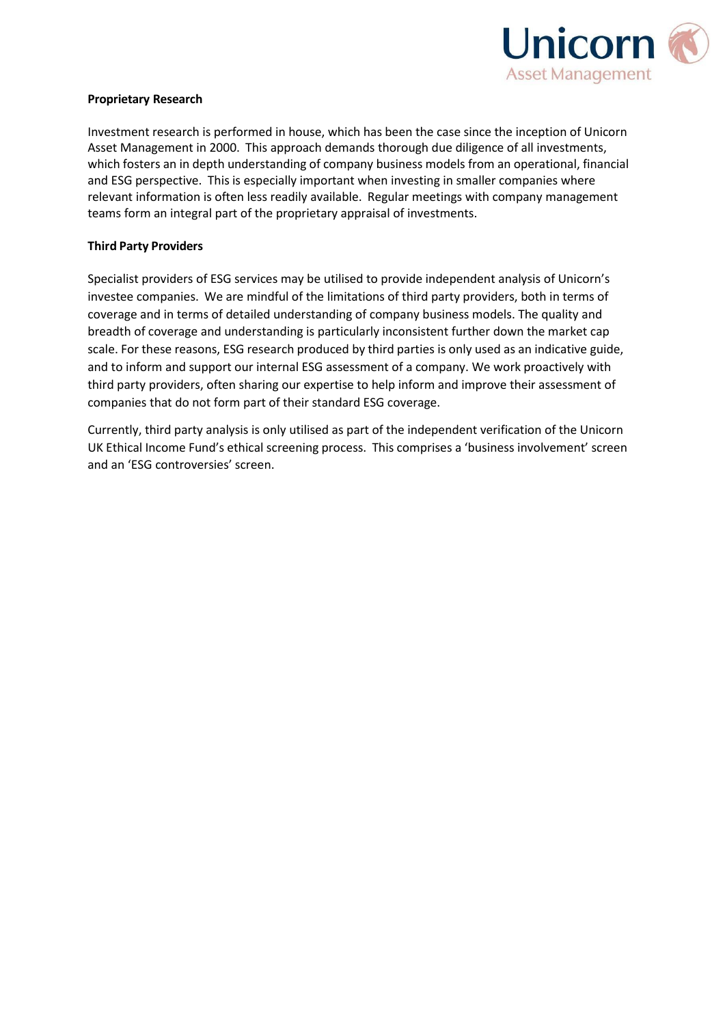

### **Proprietary Research**

Investment research is performed in house, which has been the case since the inception of Unicorn Asset Management in 2000. This approach demands thorough due diligence of all investments, which fosters an in depth understanding of company business models from an operational, financial and ESG perspective. This is especially important when investing in smaller companies where relevant information is often less readily available. Regular meetings with company management teams form an integral part of the proprietary appraisal of investments.

#### **Third Party Providers**

Specialist providers of ESG services may be utilised to provide independent analysis of Unicorn's investee companies. We are mindful of the limitations of third party providers, both in terms of coverage and in terms of detailed understanding of company business models. The quality and breadth of coverage and understanding is particularly inconsistent further down the market cap scale. For these reasons, ESG research produced by third parties is only used as an indicative guide, and to inform and support our internal ESG assessment of a company. We work proactively with third party providers, often sharing our expertise to help inform and improve their assessment of companies that do not form part of their standard ESG coverage.

Currently, third party analysis is only utilised as part of the independent verification of the Unicorn UK Ethical Income Fund's ethical screening process. This comprises a 'business involvement' screen and an 'ESG controversies' screen.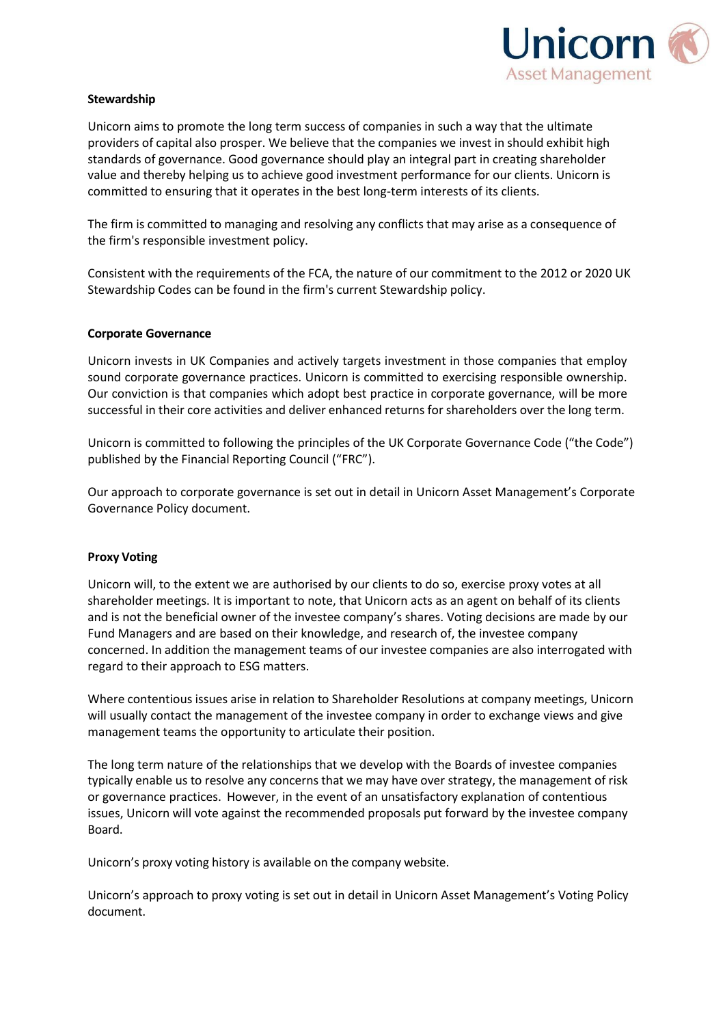

## **Stewardship**

Unicorn aims to promote the long term success of companies in such a way that the ultimate providers of capital also prosper. We believe that the companies we invest in should exhibit high standards of governance. Good governance should play an integral part in creating shareholder value and thereby helping us to achieve good investment performance for our clients. Unicorn is committed to ensuring that it operates in the best long-term interests of its clients.

The firm is committed to managing and resolving any conflicts that may arise as a consequence of the firm's responsible investment policy.

Consistent with the requirements of the FCA, the nature of our commitment to the 2012 or 2020 UK Stewardship Codes can be found in the firm's current Stewardship policy.

### **Corporate Governance**

Unicorn invests in UK Companies and actively targets investment in those companies that employ sound corporate governance practices. Unicorn is committed to exercising responsible ownership. Our conviction is that companies which adopt best practice in corporate governance, will be more successful in their core activities and deliver enhanced returns for shareholders over the long term.

Unicorn is committed to following the principles of the UK Corporate Governance Code ("the Code") published by the Financial Reporting Council ("FRC").

Our approach to corporate governance is set out in detail in Unicorn Asset Management's Corporate Governance Policy document.

### **Proxy Voting**

Unicorn will, to the extent we are authorised by our clients to do so, exercise proxy votes at all shareholder meetings. It is important to note, that Unicorn acts as an agent on behalf of its clients and is not the beneficial owner of the investee company's shares. Voting decisions are made by our Fund Managers and are based on their knowledge, and research of, the investee company concerned. In addition the management teams of our investee companies are also interrogated with regard to their approach to ESG matters.

Where contentious issues arise in relation to Shareholder Resolutions at company meetings, Unicorn will usually contact the management of the investee company in order to exchange views and give management teams the opportunity to articulate their position.

The long term nature of the relationships that we develop with the Boards of investee companies typically enable us to resolve any concerns that we may have over strategy, the management of risk or governance practices. However, in the event of an unsatisfactory explanation of contentious issues, Unicorn will vote against the recommended proposals put forward by the investee company Board.

Unicorn's proxy voting history is available on the company website.

Unicorn's approach to proxy voting is set out in detail in Unicorn Asset Management's Voting Policy document.